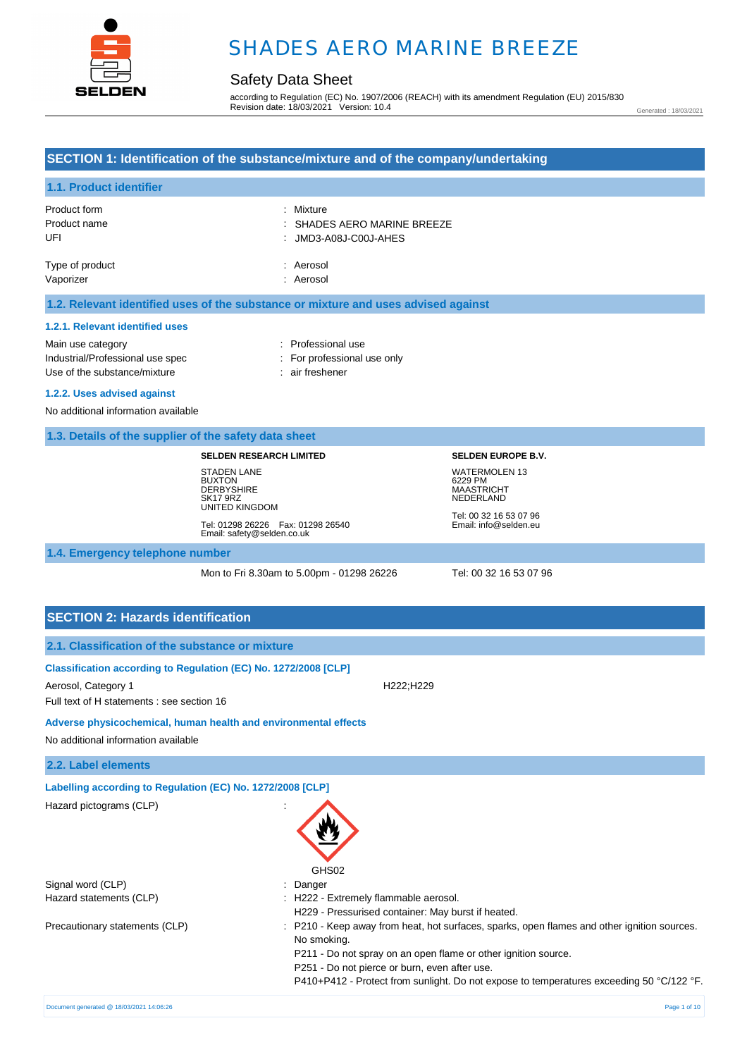

## Safety Data Sheet

according to Regulation (EC) No. 1907/2006 (REACH) with its amendment Regulation (EU) 2015/830 Revision date: 18/03/2021 Version: 10.4

Generated : 18/03/2021

### **SECTION 1: Identification of the substance/mixture and of the company/undertaking**

: Mixture

# **1.1. Product identifier** Product form

| 1.2. Relevant identified uses of the substance or mixture and uses advised against |                           |  |
|------------------------------------------------------------------------------------|---------------------------|--|
|                                                                                    |                           |  |
| Vaporizer                                                                          | : Aerosol                 |  |
|                                                                                    |                           |  |
| Type of product                                                                    | : Aerosol                 |  |
|                                                                                    |                           |  |
|                                                                                    |                           |  |
| UFI                                                                                | JMD3-A08J-C00J-AHES       |  |
|                                                                                    |                           |  |
| Product name                                                                       | SHADES AERO MARINE BREEZE |  |

#### **1.2.1. Relevant identified uses**

Main use category **Example 20** and 20 and 20 and 20 and 20 and 20 and 20 and 20 and 20 and 20 and 20 and 20 and 20 and 20 and 20 and 20 and 20 and 20 and 20 and 20 and 20 and 20 and 20 and 20 and 20 and 20 and 20 and 20 an Industrial/Professional use spec : For professional use only Use of the substance/mixture : air freshener

#### **1.2.2. Uses advised against**

No additional information available

#### **1.3. Details of the supplier of the safety data sheet**

#### **SELDEN RESEARCH LIMITED**

STADEN LANE **BUXTON DERBYSHIRE** SK17 9RZ UNITED KINGDOM Tel: 01298 26226 Fax: 01298 26540

Email: safety@selden.co.uk

**SELDEN EUROPE B.V.** WATERMOLEN 13 6229 PM MAASTRICHT NEDERLAND Tel: 00 32 16 53 07 96

Email: info@selden.eu

#### **1.4. Emergency telephone number**

Mon to Fri 8.30am to 5.00pm - 01298 26226 Tel: 00 32 16 53 07 96

## **SECTION 2: Hazards identification**

## **2.1. Classification of the substance or mixture**

**Classification according to Regulation (EC) No. 1272/2008 [CLP]** 

Aerosol, Category 1 **H222**; H222; H229 Full text of H statements : see section 16

#### **Adverse physicochemical, human health and environmental effects**

No additional information available

#### **2.2. Label elements**

**Labelling according to Regulation (EC) No. 1272/2008 [CLP]**

Hazard pictograms (CLP) :

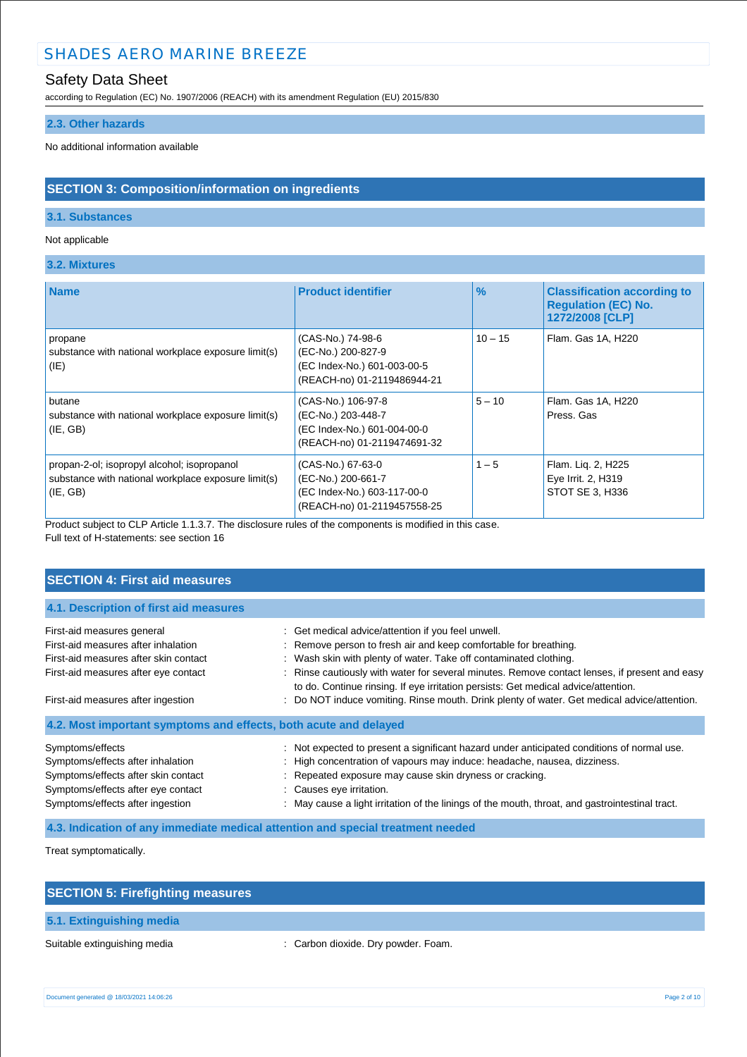## Safety Data Sheet

according to Regulation (EC) No. 1907/2006 (REACH) with its amendment Regulation (EU) 2015/830

#### **2.3. Other hazards**

No additional information available

## **SECTION 3: Composition/information on ingredients**

## **3.1. Substances**

### Not applicable

## **3.2. Mixtures**

| <b>Name</b>                                                                                                    | <b>Product identifier</b>                                                                              | $\frac{9}{6}$ | <b>Classification according to</b><br><b>Requlation (EC) No.</b><br>1272/2008 [CLP] |
|----------------------------------------------------------------------------------------------------------------|--------------------------------------------------------------------------------------------------------|---------------|-------------------------------------------------------------------------------------|
| propane<br>substance with national workplace exposure limit(s)<br>(IE)                                         | (CAS-No.) 74-98-6<br>(EC-No.) 200-827-9<br>(EC Index-No.) 601-003-00-5<br>(REACH-no) 01-2119486944-21  | $10 - 15$     | Flam. Gas 1A, H220                                                                  |
| butane<br>substance with national workplace exposure limit(s)<br>(IE, GB)                                      | (CAS-No.) 106-97-8<br>(EC-No.) 203-448-7<br>(EC Index-No.) 601-004-00-0<br>(REACH-no) 01-2119474691-32 | $5 - 10$      | Flam. Gas 1A, H220<br>Press, Gas                                                    |
| propan-2-ol; isopropyl alcohol; isopropanol<br>substance with national workplace exposure limit(s)<br>(IE, GB) | (CAS-No.) 67-63-0<br>(EC-No.) 200-661-7<br>(EC Index-No.) 603-117-00-0<br>(REACH-no) 01-2119457558-25  | $1 - 5$       | Flam. Lig. 2, H225<br>Eye Irrit. 2, H319<br>STOT SE 3, H336                         |

Product subject to CLP Article 1.1.3.7. The disclosure rules of the components is modified in this case. Full text of H-statements: see section 16

## **SECTION 4: First aid measures**

| 4.1. Description of first aid measures                                                                                                                                 |                                                                                                                                                                                                                                                                                                                                                                  |
|------------------------------------------------------------------------------------------------------------------------------------------------------------------------|------------------------------------------------------------------------------------------------------------------------------------------------------------------------------------------------------------------------------------------------------------------------------------------------------------------------------------------------------------------|
| First-aid measures general                                                                                                                                             | : Get medical advice/attention if you feel unwell.                                                                                                                                                                                                                                                                                                               |
| First-aid measures after inhalation                                                                                                                                    | : Remove person to fresh air and keep comfortable for breathing.                                                                                                                                                                                                                                                                                                 |
| First-aid measures after skin contact                                                                                                                                  | : Wash skin with plenty of water. Take off contaminated clothing.                                                                                                                                                                                                                                                                                                |
| First-aid measures after eye contact                                                                                                                                   | : Rinse cautiously with water for several minutes. Remove contact lenses, if present and easy<br>to do. Continue rinsing. If eye irritation persists: Get medical advice/attention.                                                                                                                                                                              |
| First-aid measures after ingestion                                                                                                                                     | : Do NOT induce vomiting. Rinse mouth. Drink plenty of water. Get medical advice/attention.                                                                                                                                                                                                                                                                      |
| 4.2. Most important symptoms and effects, both acute and delayed                                                                                                       |                                                                                                                                                                                                                                                                                                                                                                  |
| Symptoms/effects<br>Symptoms/effects after inhalation<br>Symptoms/effects after skin contact<br>Symptoms/effects after eye contact<br>Symptoms/effects after ingestion | : Not expected to present a significant hazard under anticipated conditions of normal use.<br>: High concentration of vapours may induce: headache, nausea, dizziness.<br>: Repeated exposure may cause skin dryness or cracking.<br>: Causes eye irritation.<br>: May cause a light irritation of the linings of the mouth, throat, and gastrointestinal tract. |

**4.3. Indication of any immediate medical attention and special treatment needed**

Treat symptomatically.

| <b>SECTION 5: Firefighting measures</b> |  |
|-----------------------------------------|--|
| 5.1. Extinguishing media                |  |
|                                         |  |

Suitable extinguishing media : Carbon dioxide. Dry powder. Foam.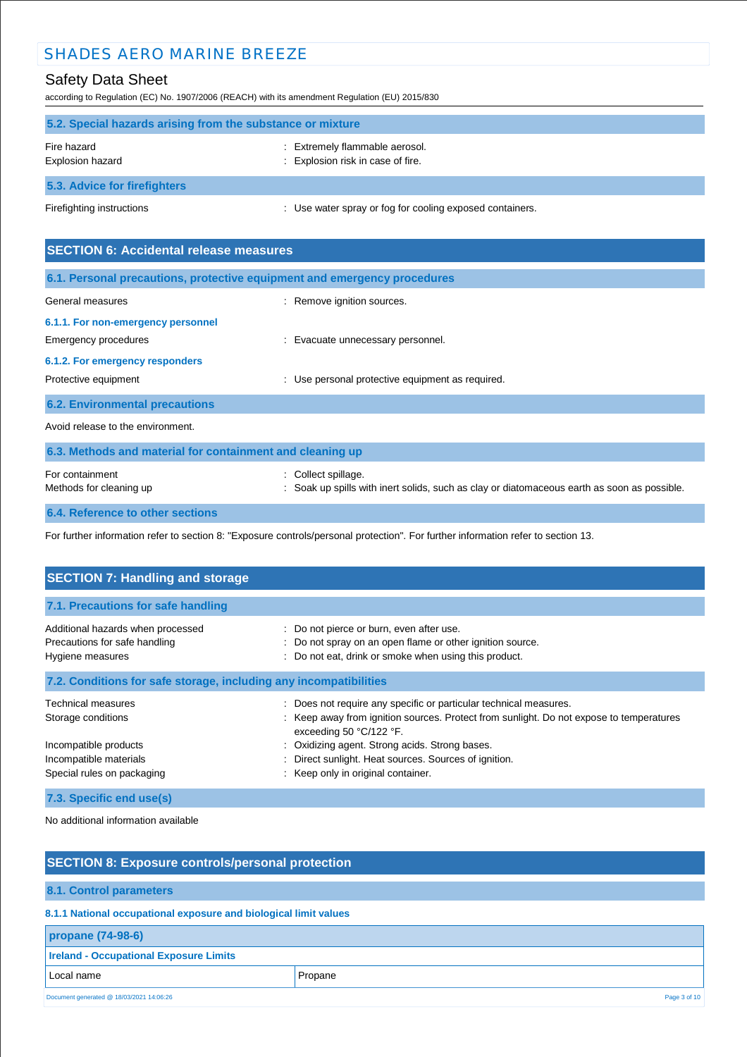# Safety Data Sheet

according to Regulation (EC) No. 1907/2006 (REACH) with its amendment Regulation (EU) 2015/830

| 5.2. Special hazards arising from the substance or mixture |                                                                     |  |
|------------------------------------------------------------|---------------------------------------------------------------------|--|
| Fire hazard<br>Explosion hazard                            | : Extremely flammable aerosol.<br>: Explosion risk in case of fire. |  |
| 5.3. Advice for firefighters                               |                                                                     |  |
| Firefighting instructions                                  | : Use water spray or fog for cooling exposed containers.            |  |

| <b>SECTION 6: Accidental release measures</b>                            |                                                                                                                     |  |
|--------------------------------------------------------------------------|---------------------------------------------------------------------------------------------------------------------|--|
| 6.1. Personal precautions, protective equipment and emergency procedures |                                                                                                                     |  |
| General measures                                                         | : Remove ignition sources.                                                                                          |  |
| 6.1.1. For non-emergency personnel                                       |                                                                                                                     |  |
| Emergency procedures                                                     | Evacuate unnecessary personnel.                                                                                     |  |
| 6.1.2. For emergency responders                                          |                                                                                                                     |  |
| Protective equipment                                                     | Use personal protective equipment as required.                                                                      |  |
| <b>6.2. Environmental precautions</b>                                    |                                                                                                                     |  |
| Avoid release to the environment.                                        |                                                                                                                     |  |
| 6.3. Methods and material for containment and cleaning up                |                                                                                                                     |  |
| For containment<br>Methods for cleaning up                               | Collect spillage.<br>÷<br>Soak up spills with inert solids, such as clay or diatomaceous earth as soon as possible. |  |
| 6.4. Reference to other sections                                         |                                                                                                                     |  |

For further information refer to section 8: "Exposure controls/personal protection". For further information refer to section 13.

| <b>SECTION 7: Handling and storage</b>                                                 |                                                                                                                                                                                         |
|----------------------------------------------------------------------------------------|-----------------------------------------------------------------------------------------------------------------------------------------------------------------------------------------|
| 7.1. Precautions for safe handling                                                     |                                                                                                                                                                                         |
| Additional hazards when processed<br>Precautions for safe handling<br>Hygiene measures | : Do not pierce or burn, even after use.<br>: Do not spray on an open flame or other ignition source.<br>: Do not eat, drink or smoke when using this product.                          |
| 7.2. Conditions for safe storage, including any incompatibilities                      |                                                                                                                                                                                         |
| <b>Technical measures</b><br>Storage conditions                                        | : Does not require any specific or particular technical measures.<br>: Keep away from ignition sources. Protect from sunlight. Do not expose to temperatures<br>exceeding 50 °C/122 °F. |
| Incompatible products<br>Incompatible materials<br>Special rules on packaging          | : Oxidizing agent. Strong acids. Strong bases.<br>Direct sunlight. Heat sources. Sources of ignition.<br>: Keep only in original container.                                             |
| 7.3. Specific end use(s)                                                               |                                                                                                                                                                                         |

No additional information available

| <b>SECTION 8: Exposure controls/personal protection</b>          |              |  |
|------------------------------------------------------------------|--------------|--|
| 8.1. Control parameters                                          |              |  |
| 8.1.1 National occupational exposure and biological limit values |              |  |
| propane (74-98-6)                                                |              |  |
| <b>Ireland - Occupational Exposure Limits</b>                    |              |  |
| Local name                                                       | Propane      |  |
| Document generated @ 18/03/2021 14:06:26                         | Page 3 of 10 |  |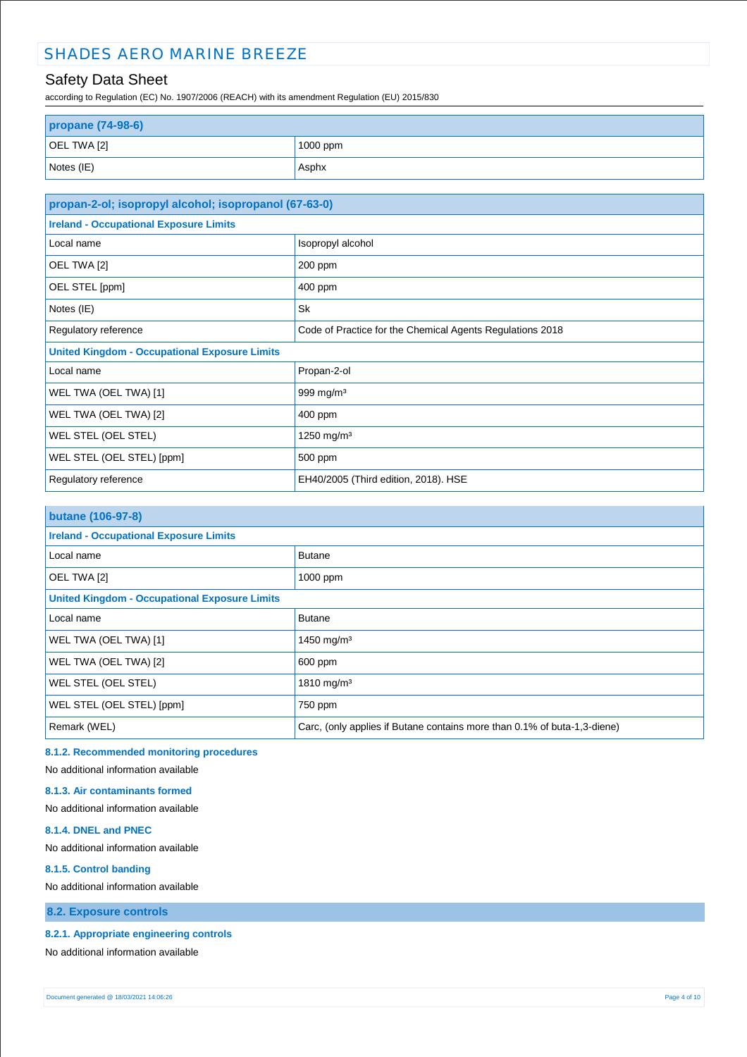## Safety Data Sheet

according to Regulation (EC) No. 1907/2006 (REACH) with its amendment Regulation (EU) 2015/830

| propane (74-98-6)   |          |  |
|---------------------|----------|--|
| $\vert$ OEL TWA [2] | 1000 ppm |  |
| Notes (IE)          | Asphx    |  |

| propan-2-ol; isopropyl alcohol; isopropanol (67-63-0) |                                                           |  |
|-------------------------------------------------------|-----------------------------------------------------------|--|
| <b>Ireland - Occupational Exposure Limits</b>         |                                                           |  |
| Local name                                            | Isopropyl alcohol                                         |  |
| OEL TWA [2]                                           | 200 ppm                                                   |  |
| OEL STEL [ppm]                                        | 400 ppm                                                   |  |
| Notes (IE)                                            | Sk                                                        |  |
| Regulatory reference                                  | Code of Practice for the Chemical Agents Regulations 2018 |  |
| <b>United Kingdom - Occupational Exposure Limits</b>  |                                                           |  |
| Local name                                            | Propan-2-ol                                               |  |
| WEL TWA (OEL TWA) [1]                                 | 999 mg/m $3$                                              |  |
| WEL TWA (OEL TWA) [2]                                 | 400 ppm                                                   |  |
| WEL STEL (OEL STEL)                                   | 1250 mg/m <sup>3</sup>                                    |  |
| WEL STEL (OEL STEL) [ppm]                             | 500 ppm                                                   |  |
| Regulatory reference                                  | EH40/2005 (Third edition, 2018). HSE                      |  |

| <b>butane (106-97-8)</b>                             |                                                                          |  |
|------------------------------------------------------|--------------------------------------------------------------------------|--|
| <b>Ireland - Occupational Exposure Limits</b>        |                                                                          |  |
| Local name                                           | <b>Butane</b>                                                            |  |
| OEL TWA [2]                                          | $1000$ ppm                                                               |  |
| <b>United Kingdom - Occupational Exposure Limits</b> |                                                                          |  |
| Local name                                           | <b>Butane</b>                                                            |  |
| WEL TWA (OEL TWA) [1]                                | 1450 mg/m <sup>3</sup>                                                   |  |
| WEL TWA (OEL TWA) [2]                                | 600 ppm                                                                  |  |
| WEL STEL (OEL STEL)                                  | 1810 mg/m <sup>3</sup>                                                   |  |
| WEL STEL (OEL STEL) [ppm]                            | 750 ppm                                                                  |  |
| Remark (WEL)                                         | Carc, (only applies if Butane contains more than 0.1% of buta-1,3-diene) |  |

## **8.1.2. Recommended monitoring procedures**

No additional information available

**8.1.3. Air contaminants formed**

## No additional information available

#### **8.1.4. DNEL and PNEC**

No additional information available

#### **8.1.5. Control banding**

No additional information available

**8.2. Exposure controls**

#### **8.2.1. Appropriate engineering controls**

No additional information available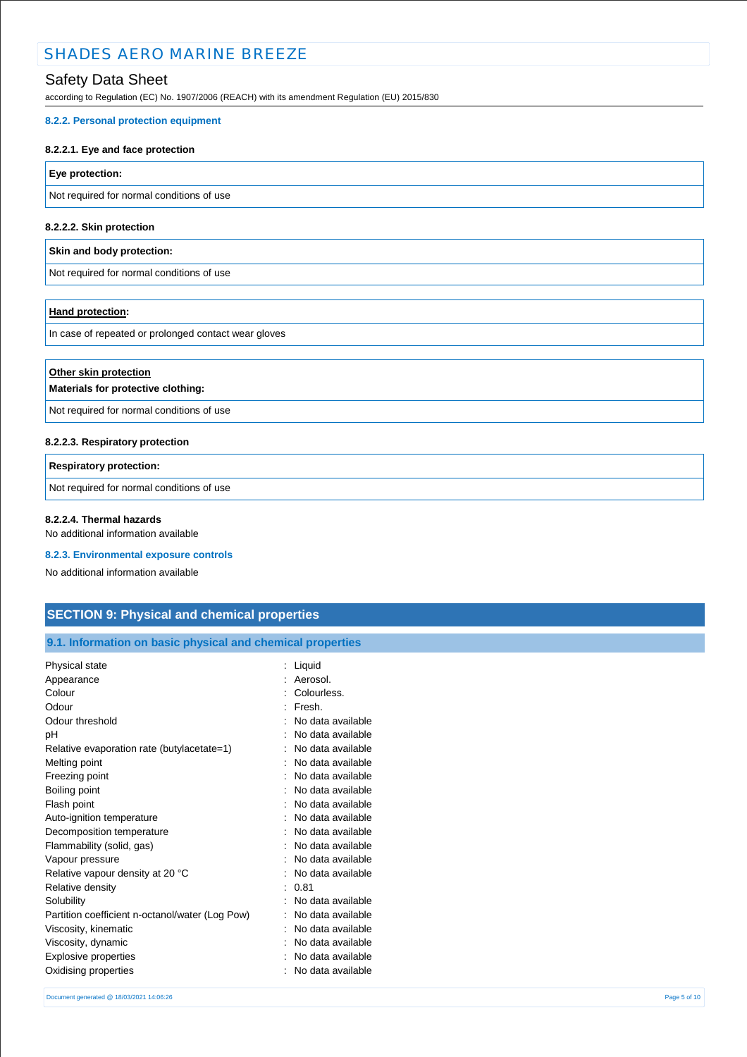## Safety Data Sheet

according to Regulation (EC) No. 1907/2006 (REACH) with its amendment Regulation (EU) 2015/830

#### **8.2.2. Personal protection equipment**

#### **8.2.2.1. Eye and face protection**

|                                           | Eye protection: |  |
|-------------------------------------------|-----------------|--|
| Not required for normal conditions of use |                 |  |

## **8.2.2.2. Skin protection**

#### **Skin and body protection:**

Not required for normal conditions of use

#### **Hand protection:**

In case of repeated or prolonged contact wear gloves

| Other skin protection<br>Materials for protective clothing: |  |
|-------------------------------------------------------------|--|
| Not required for normal conditions of use                   |  |
| 8.2.2.3. Respiratory protection                             |  |

# **Respiratory protection:**

Not required for normal conditions of use

#### **8.2.2.4. Thermal hazards**

No additional information available

#### **8.2.3. Environmental exposure controls**

No additional information available

## **SECTION 9: Physical and chemical properties**

## **9.1. Information on basic physical and chemical properties**

| Physical state                                  | Liquid            |
|-------------------------------------------------|-------------------|
| Appearance                                      | Aerosol.          |
| Colour                                          | Colourless.       |
| Odour                                           | Fresh.            |
| Odour threshold                                 | No data available |
| рH                                              | No data available |
| Relative evaporation rate (butylacetate=1)      | No data available |
| Melting point                                   | No data available |
| Freezing point                                  | No data available |
| Boiling point                                   | No data available |
| Flash point                                     | No data available |
| Auto-ignition temperature                       | No data available |
| Decomposition temperature                       | No data available |
| Flammability (solid, gas)                       | No data available |
| Vapour pressure                                 | No data available |
| Relative vapour density at 20 °C                | No data available |
| Relative density                                | 0.81              |
| Solubility                                      | No data available |
| Partition coefficient n-octanol/water (Log Pow) | No data available |
| Viscosity, kinematic                            | No data available |
| Viscosity, dynamic                              | No data available |
| Explosive properties                            | No data available |
| Oxidising properties                            | No data available |
|                                                 |                   |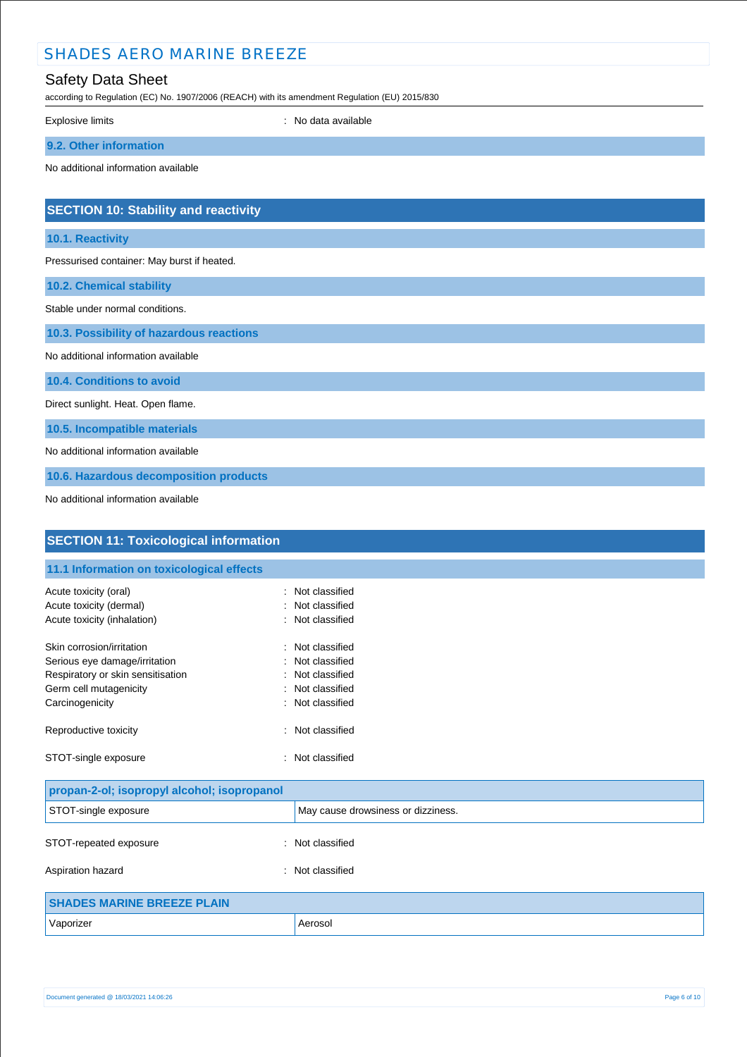| <b>SHADES AERO MARINE BREEZE</b>                                                                                           |                     |  |
|----------------------------------------------------------------------------------------------------------------------------|---------------------|--|
| <b>Safety Data Sheet</b><br>according to Regulation (EC) No. 1907/2006 (REACH) with its amendment Regulation (EU) 2015/830 |                     |  |
| <b>Explosive limits</b>                                                                                                    | : No data available |  |
| 9.2. Other information                                                                                                     |                     |  |
| No additional information available                                                                                        |                     |  |
| <b>SECTION 10: Stability and reactivity</b>                                                                                |                     |  |
| 10.1. Reactivity                                                                                                           |                     |  |
| Pressurised container: May burst if heated.                                                                                |                     |  |
| 10.2. Chemical stability                                                                                                   |                     |  |
| Stable under normal conditions.                                                                                            |                     |  |
| 10.3. Possibility of hazardous reactions                                                                                   |                     |  |
| No additional information available                                                                                        |                     |  |
| 10.4. Conditions to avoid                                                                                                  |                     |  |
| Direct sunlight. Heat. Open flame.                                                                                         |                     |  |
| 10.5. Incompatible materials                                                                                               |                     |  |
| No additional information available                                                                                        |                     |  |
| 10.6. Hazardous decomposition products                                                                                     |                     |  |
| No additional information available                                                                                        |                     |  |
| <b>SECTION 11: Toxicological information</b>                                                                               |                     |  |
| 11.1 Information on toxicological effects                                                                                  |                     |  |

| Acute toxicity (oral)<br>Acute toxicity (dermal)<br>Acute toxicity (inhalation)                                                              | $\therefore$ Not classified<br>$\therefore$ Not classified<br>$\therefore$ Not classified                                                    |
|----------------------------------------------------------------------------------------------------------------------------------------------|----------------------------------------------------------------------------------------------------------------------------------------------|
| Skin corrosion/irritation<br>Serious eye damage/irritation<br>Respiratory or skin sensitisation<br>Germ cell mutagenicity<br>Carcinogenicity | : Not classified<br>$\therefore$ Not classified<br>$\therefore$ Not classified<br>$\therefore$ Not classified<br>$\therefore$ Not classified |
| Reproductive toxicity                                                                                                                        | : Not classified                                                                                                                             |
| STOT-single exposure                                                                                                                         | $\therefore$ Not classified                                                                                                                  |

| propan-2-ol; isopropyl alcohol; isopropanol |                                    |  |
|---------------------------------------------|------------------------------------|--|
| STOT-single exposure                        | May cause drowsiness or dizziness. |  |
| STOT-repeated exposure                      | : Not classified                   |  |
| Aspiration hazard<br>$\bullet$              | Not classified                     |  |
| <b>SHADES MARINE BREEZE PLAIN</b>           |                                    |  |
|                                             |                                    |  |
| Vaporizer                                   | Aerosol                            |  |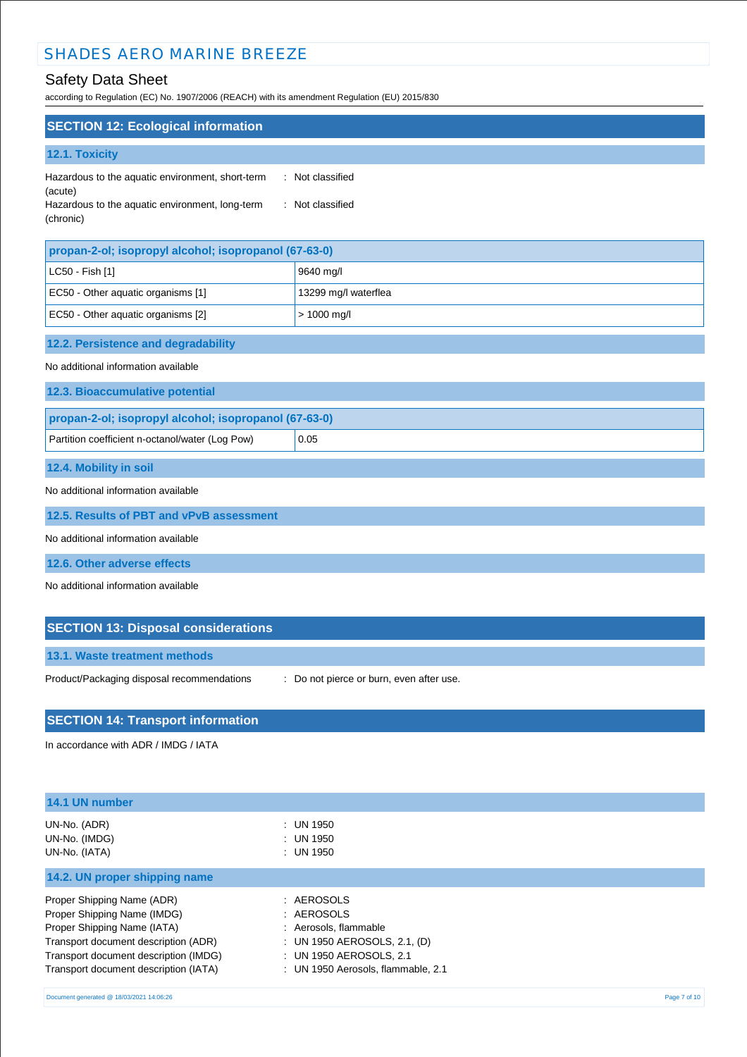## Safety Data Sheet

according to Regulation (EC) No. 1907/2006 (REACH) with its amendment Regulation (EU) 2015/830

| <b>SECTION 12: Ecological information</b>                                        |                      |  |
|----------------------------------------------------------------------------------|----------------------|--|
| 12.1. Toxicity                                                                   |                      |  |
| : Not classified<br>Hazardous to the aquatic environment, short-term<br>(acute)  |                      |  |
| : Not classified<br>Hazardous to the aquatic environment, long-term<br>(chronic) |                      |  |
| propan-2-ol; isopropyl alcohol; isopropanol (67-63-0)                            |                      |  |
| LC50 - Fish [1]                                                                  | 9640 mg/l            |  |
| EC50 - Other aquatic organisms [1]                                               | 13299 mg/l waterflea |  |

## **12.2. Persistence and degradability**

EC50 - Other aquatic organisms [2] > 1000 mg/l

No additional information available

**12.3. Bioaccumulative potential**

| propan-2-ol; isopropyl alcohol; isopropanol (67-63-0) |      |
|-------------------------------------------------------|------|
| Partition coefficient n-octanol/water (Log Pow)       | 0.05 |
|                                                       |      |

**12.4. Mobility in soil**

No additional information available

**12.5. Results of PBT and vPvB assessment**

No additional information available

**12.6. Other adverse effects**

No additional information available

| <b>SECTION 13: Disposal considerations</b> |  |
|--------------------------------------------|--|
|--------------------------------------------|--|

**13.1. Waste treatment methods**

Product/Packaging disposal recommendations : Do not pierce or burn, even after use.

## **SECTION 14: Transport information**

In accordance with ADR / IMDG / IATA

| 14.1 UN number                                                                                                                                                                                                     |                                                                                                                                                    |              |
|--------------------------------------------------------------------------------------------------------------------------------------------------------------------------------------------------------------------|----------------------------------------------------------------------------------------------------------------------------------------------------|--------------|
| UN-No. (ADR)<br>UN-No. (IMDG)<br>UN-No. (IATA)                                                                                                                                                                     | : UN 1950<br>: UN 1950<br>$:$ UN 1950                                                                                                              |              |
| 14.2. UN proper shipping name                                                                                                                                                                                      |                                                                                                                                                    |              |
| Proper Shipping Name (ADR)<br>Proper Shipping Name (IMDG)<br>Proper Shipping Name (IATA)<br>Transport document description (ADR)<br>Transport document description (IMDG)<br>Transport document description (IATA) | : AEROSOLS<br>: AEROSOLS<br>: Aerosols, flammable<br>: UN 1950 AEROSOLS, 2.1, (D)<br>: UN 1950 AEROSOLS, 2.1<br>: UN 1950 Aerosols, flammable, 2.1 |              |
| Document generated @ 18/03/2021 14:06:26                                                                                                                                                                           |                                                                                                                                                    | Page 7 of 10 |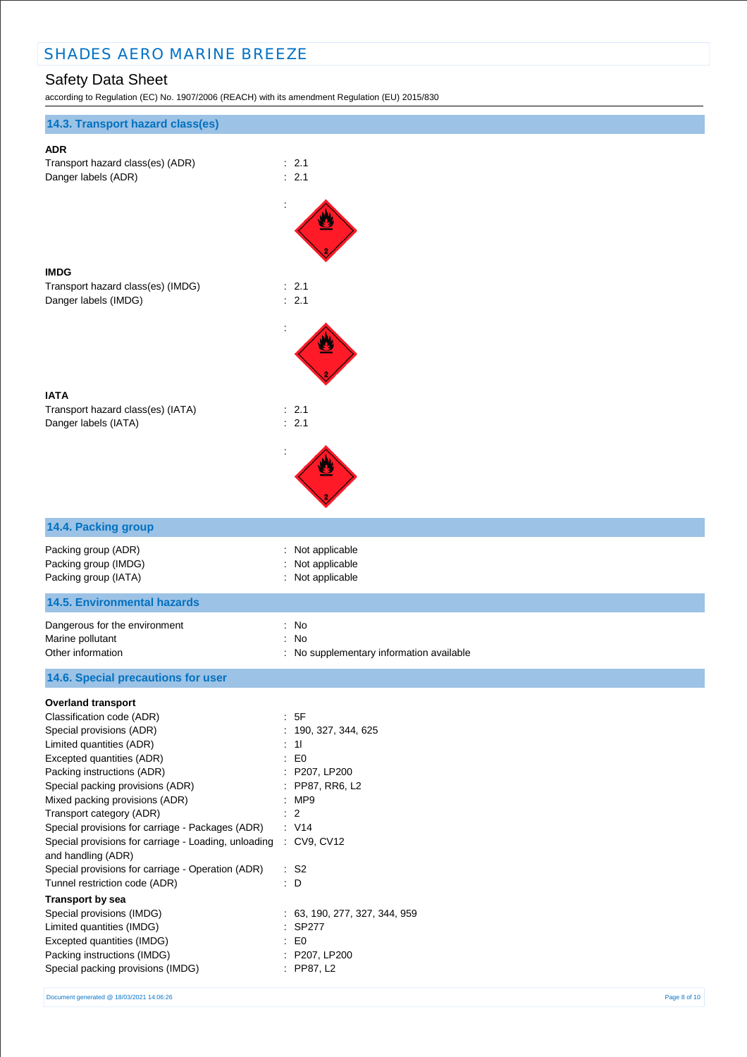# Safety Data Sheet

according to Regulation (EC) No. 1907/2006 (REACH) with its amendment Regulation (EU) 2015/830

| 14.3. Transport hazard class(es)                                                                                                                                                                         |                                                                                            |
|----------------------------------------------------------------------------------------------------------------------------------------------------------------------------------------------------------|--------------------------------------------------------------------------------------------|
| <b>ADR</b><br>Transport hazard class(es) (ADR)<br>Danger labels (ADR)                                                                                                                                    | : 2.1<br>: 2.1                                                                             |
|                                                                                                                                                                                                          |                                                                                            |
| <b>IMDG</b><br>Transport hazard class(es) (IMDG)<br>Danger labels (IMDG)                                                                                                                                 | : 2.1<br>: 2.1                                                                             |
|                                                                                                                                                                                                          |                                                                                            |
| <b>IATA</b><br>Transport hazard class(es) (IATA)<br>Danger labels (IATA)                                                                                                                                 | : 2.1<br>: 2.1                                                                             |
|                                                                                                                                                                                                          |                                                                                            |
| 14.4. Packing group                                                                                                                                                                                      |                                                                                            |
| Packing group (ADR)<br>Packing group (IMDG)<br>Packing group (IATA)                                                                                                                                      | Not applicable<br>Not applicable<br>: Not applicable                                       |
| <b>14.5. Environmental hazards</b>                                                                                                                                                                       |                                                                                            |
| Dangerous for the environment<br>Marine pollutant<br>Other information                                                                                                                                   | : No<br>No<br>$\ddot{\cdot}$<br>No supplementary information available                     |
| 14.6. Special precautions for user                                                                                                                                                                       |                                                                                            |
| <b>Overland transport</b><br>Classification code (ADR)                                                                                                                                                   | : 5F                                                                                       |
| Special provisions (ADR)<br>Limited quantities (ADR)<br>Excepted quantities (ADR)<br>Packing instructions (ADR)<br>Special packing provisions (ADR)                                                      | : 190, 327, 344, 625<br>$\therefore$ 11<br>$\colon$ EO<br>: P207, LP200<br>: PP87, RR6, L2 |
| Mixed packing provisions (ADR)<br>Transport category (ADR)<br>Special provisions for carriage - Packages (ADR)<br>Special provisions for carriage - Loading, unloading : CV9, CV12<br>and handling (ADR) | :MP9<br>$\therefore$ 2<br>$\therefore$ V14                                                 |
| Special provisions for carriage - Operation (ADR)<br>Tunnel restriction code (ADR)<br><b>Transport by sea</b><br>Special provisions (IMDG)                                                               | $\therefore$ S2<br>: $\mathsf{D}$<br>: 63, 190, 277, 327, 344, 959                         |
| Limited quantities (IMDG)<br>Excepted quantities (IMDG)<br>Packing instructions (IMDG)<br>Special packing provisions (IMDG)                                                                              | $:$ SP277<br>$\therefore$ EO<br>: P207, LP200<br>: PP87, L2                                |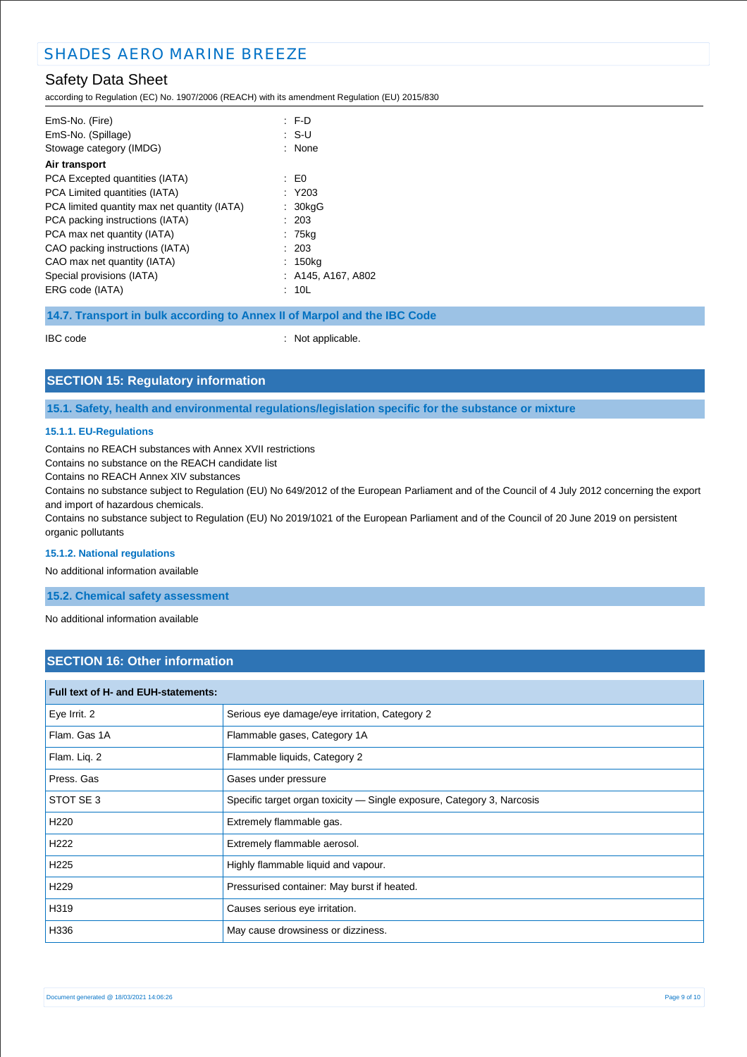## Safety Data Sheet

according to Regulation (EC) No. 1907/2006 (REACH) with its amendment Regulation (EU) 2015/830

| EmS-No. (Fire)                               | F.D                |
|----------------------------------------------|--------------------|
| EmS-No. (Spillage)                           | : SU               |
| Stowage category (IMDG)                      | $:$ None           |
| Air transport                                |                    |
| PCA Excepted quantities (IATA)               | $\pm 50$           |
| PCA Limited quantities (IATA)                | : Y203             |
| PCA limited quantity max net quantity (IATA) | $: 30$ kgG         |
| PCA packing instructions (IATA)              | : 203              |
| PCA max net quantity (IATA)                  | : 75kg             |
| CAO packing instructions (IATA)              | : 203              |
| CAO max net quantity (IATA)                  | : 150kg            |
| Special provisions (IATA)                    | : A145, A167, A802 |
| ERG code (IATA)                              | : 10L              |
|                                              |                    |

**14.7. Transport in bulk according to Annex II of Marpol and the IBC Code**

IBC code : Not applicable.

## **SECTION 15: Regulatory information**

**15.1. Safety, health and environmental regulations/legislation specific for the substance or mixture**

#### **15.1.1. EU-Regulations**

Contains no REACH substances with Annex XVII restrictions

Contains no substance on the REACH candidate list

Contains no REACH Annex XIV substances

Contains no substance subject to Regulation (EU) No 649/2012 of the European Parliament and of the Council of 4 July 2012 concerning the export and import of hazardous chemicals.

Contains no substance subject to Regulation (EU) No 2019/1021 of the European Parliament and of the Council of 20 June 2019 on persistent organic pollutants

#### **15.1.2. National regulations**

No additional information available

### **15.2. Chemical safety assessment**

No additional information available

## **SECTION 16: Other information**

| Full text of H- and EUH-statements: |                                                                        |  |
|-------------------------------------|------------------------------------------------------------------------|--|
| Eye Irrit. 2                        | Serious eye damage/eye irritation, Category 2                          |  |
| Flam. Gas 1A                        | Flammable gases, Category 1A                                           |  |
| Flam. Liq. 2                        | Flammable liquids, Category 2                                          |  |
| Press, Gas                          | Gases under pressure                                                   |  |
| STOT SE 3                           | Specific target organ toxicity — Single exposure, Category 3, Narcosis |  |
| H <sub>220</sub>                    | Extremely flammable gas.                                               |  |
| H <sub>222</sub>                    | Extremely flammable aerosol.                                           |  |
| H <sub>225</sub>                    | Highly flammable liquid and vapour.                                    |  |
| H <sub>229</sub>                    | Pressurised container: May burst if heated.                            |  |
| H319                                | Causes serious eye irritation.                                         |  |
| H336                                | May cause drowsiness or dizziness.                                     |  |